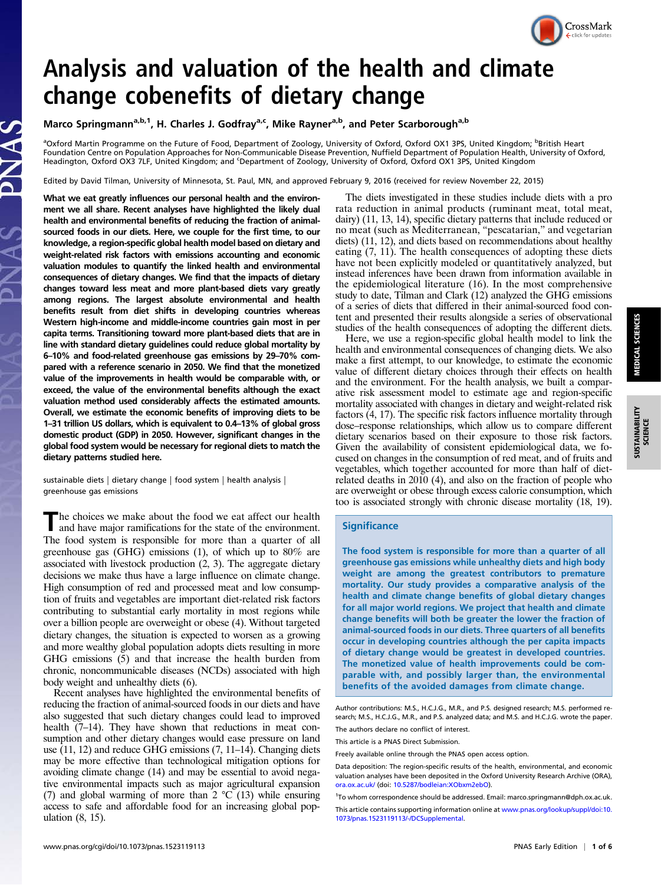# Analysis and valuation of the health and climate change cobenefits of dietary change

Marco Springmann<sup>a,b,1</sup>, H. Charles J. Godfray<sup>a,c</sup>, Mike Rayner<sup>a,b</sup>, and Peter Scarborough<sup>a,b</sup>

ªOxford Martin Programme on the Future of Food, Department of Zoology, University of Oxford, Oxford OX1 3PS, United Kingdom; <sup>b</sup>British Heart Foundation Centre on Population Approaches for Non-Communicable Disease Prevention, Nuffield Department of Population Health, University of Oxford, Headington, Oxford OX3 7LF, United Kingdom; and 'Department of Zoology, University of Oxford, Oxford OX1 3PS, United Kingdom

Edited by David Tilman, University of Minnesota, St. Paul, MN, and approved February 9, 2016 (received for review November 22, 2015)

What we eat greatly influences our personal health and the environment we all share. Recent analyses have highlighted the likely dual health and environmental benefits of reducing the fraction of animalsourced foods in our diets. Here, we couple for the first time, to our knowledge, a region-specific global health model based on dietary and weight-related risk factors with emissions accounting and economic valuation modules to quantify the linked health and environmental consequences of dietary changes. We find that the impacts of dietary changes toward less meat and more plant-based diets vary greatly among regions. The largest absolute environmental and health benefits result from diet shifts in developing countries whereas Western high-income and middle-income countries gain most in per capita terms. Transitioning toward more plant-based diets that are in line with standard dietary guidelines could reduce global mortality by 6–10% and food-related greenhouse gas emissions by 29–70% compared with a reference scenario in 2050. We find that the monetized value of the improvements in health would be comparable with, or exceed, the value of the environmental benefits although the exact valuation method used considerably affects the estimated amounts. Overall, we estimate the economic benefits of improving diets to be 1–31 trillion US dollars, which is equivalent to 0.4–13% of global gross domestic product (GDP) in 2050. However, significant changes in the global food system would be necessary for regional diets to match the dietary patterns studied here.

sustainable diets | dietary change | food system | health analysis | greenhouse gas emissions

The choices we make about the food we eat affect our health and have major ramifications for the state of the environment. The food system is responsible for more than a quarter of all greenhouse gas (GHG) emissions (1), of which up to 80% are associated with livestock production (2, 3). The aggregate dietary decisions we make thus have a large influence on climate change. High consumption of red and processed meat and low consumption of fruits and vegetables are important diet-related risk factors contributing to substantial early mortality in most regions while over a billion people are overweight or obese (4). Without targeted dietary changes, the situation is expected to worsen as a growing and more wealthy global population adopts diets resulting in more GHG emissions (5) and that increase the health burden from chronic, noncommunicable diseases (NCDs) associated with high body weight and unhealthy diets (6).

Recent analyses have highlighted the environmental benefits of reducing the fraction of animal-sourced foods in our diets and have also suggested that such dietary changes could lead to improved health (7–14). They have shown that reductions in meat consumption and other dietary changes would ease pressure on land use (11, 12) and reduce GHG emissions (7, 11–14). Changing diets may be more effective than technological mitigation options for avoiding climate change (14) and may be essential to avoid negative environmental impacts such as major agricultural expansion (7) and global warming of more than  $2 \text{°C}$  (13) while ensuring access to safe and affordable food for an increasing global population (8, 15).

The diets investigated in these studies include diets with a pro rata reduction in animal products (ruminant meat, total meat, dairy) (11, 13, 14), specific dietary patterns that include reduced or no meat (such as Mediterranean, "pescatarian," and vegetarian diets) (11, 12), and diets based on recommendations about healthy eating (7, 11). The health consequences of adopting these diets have not been explicitly modeled or quantitatively analyzed, but instead inferences have been drawn from information available in the epidemiological literature (16). In the most comprehensive study to date, Tilman and Clark (12) analyzed the GHG emissions of a series of diets that differed in their animal-sourced food content and presented their results alongside a series of observational studies of the health consequences of adopting the different diets.

Here, we use a region-specific global health model to link the health and environmental consequences of changing diets. We also make a first attempt, to our knowledge, to estimate the economic value of different dietary choices through their effects on health and the environment. For the health analysis, we built a comparative risk assessment model to estimate age and region-specific mortality associated with changes in dietary and weight-related risk factors (4, 17). The specific risk factors influence mortality through dose–response relationships, which allow us to compare different dietary scenarios based on their exposure to those risk factors. Given the availability of consistent epidemiological data, we focused on changes in the consumption of red meat, and of fruits and vegetables, which together accounted for more than half of dietrelated deaths in 2010 (4), and also on the fraction of people who are overweight or obese through excess calorie consumption, which too is associated strongly with chronic disease mortality (18, 19).

## **Significance**

The food system is responsible for more than a quarter of all greenhouse gas emissions while unhealthy diets and high body weight are among the greatest contributors to premature mortality. Our study provides a comparative analysis of the health and climate change benefits of global dietary changes for all major world regions. We project that health and climate change benefits will both be greater the lower the fraction of animal-sourced foods in our diets. Three quarters of all benefits occur in developing countries although the per capita impacts of dietary change would be greatest in developed countries. The monetized value of health improvements could be comparable with, and possibly larger than, the environmental benefits of the avoided damages from climate change.

Author contributions: M.S., H.C.J.G., M.R., and P.S. designed research; M.S. performed research; M.S., H.C.J.G., M.R., and P.S. analyzed data; and M.S. and H.C.J.G. wrote the paper. The authors declare no conflict of interest.

This article is a PNAS Direct Submission.

Freely available online through the PNAS open access option.

Data deposition: The region-specific results of the health, environmental, and economic valuation analyses have been deposited in the Oxford University Research Archive (ORA), [ora.ox.ac.uk/](http://ora.ox.ac.uk/) (doi: [10.5287/bodleian:XObxm2ebO](http://ora.ox.ac.uk/objects/uuid:631b22ca-bcd9-4eea-857b-8df05f8d1398)).

<sup>1</sup>To whom correspondence should be addressed. Email: [marco.springmann@dph.ox.ac.uk](mailto:marco.springmann@dph.ox.ac.uk).

This article contains supporting information online at [www.pnas.org/lookup/suppl/doi:10.](http://www.pnas.org/lookup/suppl/doi:10.1073/pnas.1523119113/-/DCSupplemental) [1073/pnas.1523119113/-/DCSupplemental](http://www.pnas.org/lookup/suppl/doi:10.1073/pnas.1523119113/-/DCSupplemental).

CrossMark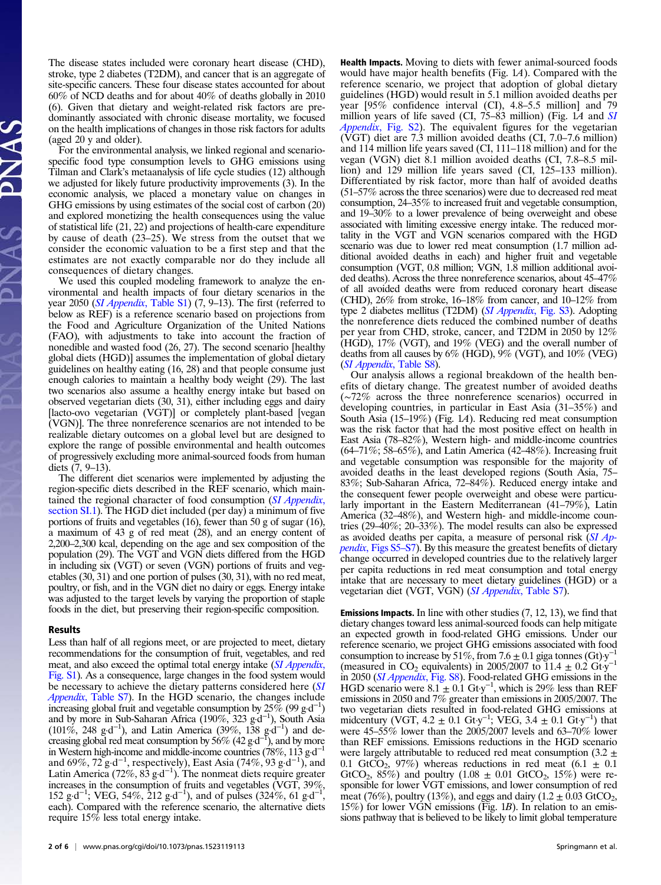The disease states included were coronary heart disease (CHD), stroke, type 2 diabetes (T2DM), and cancer that is an aggregate of site-specific cancers. These four disease states accounted for about 60% of NCD deaths and for about 40% of deaths globally in 2010 (6). Given that dietary and weight-related risk factors are predominantly associated with chronic disease mortality, we focused on the health implications of changes in those risk factors for adults (aged 20 y and older).

For the environmental analysis, we linked regional and scenariospecific food type consumption levels to GHG emissions using Tilman and Clark's metaanalysis of life cycle studies (12) although we adjusted for likely future productivity improvements (3). In the economic analysis, we placed a monetary value on changes in GHG emissions by using estimates of the social cost of carbon (20) and explored monetizing the health consequences using the value of statistical life (21, 22) and projections of health-care expenditure by cause of death (23–25). We stress from the outset that we consider the economic valuation to be a first step and that the estimates are not exactly comparable nor do they include all consequences of dietary changes.

We used this coupled modeling framework to analyze the environmental and health impacts of four dietary scenarios in the year 2050 (SI Appendix[, Table S1](http://www.pnas.org/lookup/suppl/doi:10.1073/pnas.1523119113/-/DCSupplemental/pnas.1523119113.sapp.pdf)) (7, 9–13). The first (referred to below as REF) is a reference scenario based on projections from the Food and Agriculture Organization of the United Nations (FAO), with adjustments to take into account the fraction of nonedible and wasted food (26, 27). The second scenario [healthy global diets (HGD)] assumes the implementation of global dietary guidelines on healthy eating (16, 28) and that people consume just enough calories to maintain a healthy body weight (29). The last two scenarios also assume a healthy energy intake but based on observed vegetarian diets (30, 31), either including eggs and dairy [lacto-ovo vegetarian (VGT)] or completely plant-based [vegan (VGN)]. The three nonreference scenarios are not intended to be realizable dietary outcomes on a global level but are designed to explore the range of possible environmental and health outcomes of progressively excluding more animal-sourced foods from human diets (7, 9–13).

The different diet scenarios were implemented by adjusting the region-specific diets described in the REF scenario, which main-tained the regional character of food consumption ([SI Appendix](http://www.pnas.org/lookup/suppl/doi:10.1073/pnas.1523119113/-/DCSupplemental/pnas.1523119113.sapp.pdf), [section SI.1\)](http://www.pnas.org/lookup/suppl/doi:10.1073/pnas.1523119113/-/DCSupplemental/pnas.1523119113.sapp.pdf). The HGD diet included (per day) a minimum of five portions of fruits and vegetables (16), fewer than 50 g of sugar (16), a maximum of 43 g of red meat (28), and an energy content of 2,200–2,300 kcal, depending on the age and sex composition of the population (29). The VGT and VGN diets differed from the HGD in including six (VGT) or seven (VGN) portions of fruits and vegetables (30, 31) and one portion of pulses (30, 31), with no red meat, poultry, or fish, and in the VGN diet no dairy or eggs. Energy intake was adjusted to the target levels by varying the proportion of staple foods in the diet, but preserving their region-specific composition.

## Results

Less than half of all regions meet, or are projected to meet, dietary recommendations for the consumption of fruit, vegetables, and red meat, and also exceed the optimal total energy intake (*[SI Appendix](http://www.pnas.org/lookup/suppl/doi:10.1073/pnas.1523119113/-/DCSupplemental/pnas.1523119113.sapp.pdf)*, [Fig. S1\)](http://www.pnas.org/lookup/suppl/doi:10.1073/pnas.1523119113/-/DCSupplemental/pnas.1523119113.sapp.pdf). As a consequence, large changes in the food system would be necessary to achieve the dietary patterns considered here ([SI](http://www.pnas.org/lookup/suppl/doi:10.1073/pnas.1523119113/-/DCSupplemental/pnas.1523119113.sapp.pdf) *Appendix*[, Table S7](http://www.pnas.org/lookup/suppl/doi:10.1073/pnas.1523119113/-/DCSupplemental/pnas.1523119113.sapp.pdf)). In the HGD scenario, the changes include increasing global fruit and vegetable consumption by 25% (99 g·d<sup>-1</sup>) and by more in Sub-Saharan Africa (190%, 323 g·d−<sup>1</sup> ), South Asia (101%, 248 g·d<sup>-1</sup>), and Latin America (39%, 138 g·d<sup>-1</sup>) and decreasing global red meat consumption by 56% (42 g·d<sup>-1</sup>), and by more in Western high-income and middle-income countries (78%, 113 g·d<sup>-1</sup> and 69%,  $72 \text{ g} \cdot \text{d}^{-1}$ , respectively), East Asia (74%, 93  $\text{g} \cdot \text{d}^{-1}$ ), and Latin America (72%, 83 g·d−<sup>1</sup> ). The nonmeat diets require greater increases in the consumption of fruits and vegetables (VGT, 39%, 152 g·d<sup>-1</sup>; VEG, 54%, 212 g·d<sup>-1</sup>), and of pulses (324%, 61 g·d<sup>-1</sup>, each). Compared with the reference scenario, the alternative diets require 15% less total energy intake.

Health Impacts. Moving to diets with fewer animal-sourced foods would have major health benefits (Fig. 1A). Compared with the reference scenario, we project that adoption of global dietary guidelines (HGD) would result in 5.1 million avoided deaths per year [95% confidence interval (CI), 4.8–5.5 million] and 79 million years of life saved (CI,  $75-83$  million) (Fig. 1A and [SI](http://www.pnas.org/lookup/suppl/doi:10.1073/pnas.1523119113/-/DCSupplemental/pnas.1523119113.sapp.pdf) Appendix[, Fig. S2\)](http://www.pnas.org/lookup/suppl/doi:10.1073/pnas.1523119113/-/DCSupplemental/pnas.1523119113.sapp.pdf). The equivalent figures for the vegetarian (VGT) diet are 7.3 million avoided deaths (CI, 7.0–7.6 million) and 114 million life years saved (CI, 111–118 million) and for the vegan (VGN) diet 8.1 million avoided deaths (CI, 7.8–8.5 million) and 129 million life years saved (CI, 125–133 million). Differentiated by risk factor, more than half of avoided deaths (51–57% across the three scenarios) were due to decreased red meat consumption, 24–35% to increased fruit and vegetable consumption, and 19–30% to a lower prevalence of being overweight and obese associated with limiting excessive energy intake. The reduced mortality in the VGT and VGN scenarios compared with the HGD scenario was due to lower red meat consumption (1.7 million additional avoided deaths in each) and higher fruit and vegetable consumption (VGT, 0.8 million; VGN, 1.8 million additional avoided deaths). Across the three nonreference scenarios, about 45–47% of all avoided deaths were from reduced coronary heart disease (CHD), 26% from stroke, 16–18% from cancer, and 10–12% from type 2 diabetes mellitus (T2DM) ([SI Appendix](http://www.pnas.org/lookup/suppl/doi:10.1073/pnas.1523119113/-/DCSupplemental/pnas.1523119113.sapp.pdf), Fig. S3). Adopting the nonreference diets reduced the combined number of deaths per year from CHD, stroke, cancer, and T2DM in 2050 by 12% (HGD), 17% (VGT), and 19% (VEG) and the overall number of deaths from all causes by 6% (HGD), 9% (VGT), and 10% (VEG) (SI Appendix[, Table S8\)](http://www.pnas.org/lookup/suppl/doi:10.1073/pnas.1523119113/-/DCSupplemental/pnas.1523119113.sapp.pdf).

Our analysis allows a regional breakdown of the health benefits of dietary change. The greatest number of avoided deaths (∼72% across the three nonreference scenarios) occurred in developing countries, in particular in East Asia (31–35%) and South Asia (15–19%) (Fig. 1A). Reducing red meat consumption was the risk factor that had the most positive effect on health in East Asia (78–82%), Western high- and middle-income countries (64–71%; 58–65%), and Latin America (42–48%). Increasing fruit and vegetable consumption was responsible for the majority of avoided deaths in the least developed regions (South Asia, 75– 83%; Sub-Saharan Africa, 72–84%). Reduced energy intake and the consequent fewer people overweight and obese were particularly important in the Eastern Mediterranean (41–79%), Latin America (32–48%), and Western high- and middle-income countries (29–40%; 20–33%). The model results can also be expressed as avoided deaths per capita, a measure of personal risk ([SI Ap](http://www.pnas.org/lookup/suppl/doi:10.1073/pnas.1523119113/-/DCSupplemental/pnas.1523119113.sapp.pdf)pendix[, Figs S5](http://www.pnas.org/lookup/suppl/doi:10.1073/pnas.1523119113/-/DCSupplemental/pnas.1523119113.sapp.pdf)–[S7](http://www.pnas.org/lookup/suppl/doi:10.1073/pnas.1523119113/-/DCSupplemental/pnas.1523119113.sapp.pdf)). By this measure the greatest benefits of dietary change occurred in developed countries due to the relatively larger per capita reductions in red meat consumption and total energy intake that are necessary to meet dietary guidelines (HGD) or a vegetarian diet (VGT, VGN) (SI Appendix[, Table S7\)](http://www.pnas.org/lookup/suppl/doi:10.1073/pnas.1523119113/-/DCSupplemental/pnas.1523119113.sapp.pdf).

**Emissions Impacts.** In line with other studies  $(7, 12, 13)$ , we find that dietary changes toward less animal-sourced foods can help mitigate an expected growth in food-related GHG emissions. Under our reference scenario, we project GHG emissions associated with food consumption to increase by 51%, from 7.6  $\pm$  0.1 giga tonnes (Gt)·y<sup>-1</sup> (measured in CO<sub>2</sub> equivalents) in 2005/2007 to 11.4  $\pm$  0.2 Gt·y<sup>-1</sup> in 2050 ([SI Appendix](http://www.pnas.org/lookup/suppl/doi:10.1073/pnas.1523119113/-/DCSupplemental/pnas.1523119113.sapp.pdf), Fig. S8). Food-related GHG emissions in the HGD scenario were  $8.1 \pm 0.1$  Gt·y<sup>-1</sup>, which is 29% less than REF emissions in 2050 and 7% greater than emissions in 2005/2007. The two vegetarian diets resulted in food-related GHG emissions at midcentury (VGT,  $4.2 \pm 0.1$  Gt·y<sup>-1</sup>; VEG,  $3.4 \pm 0.1$  Gt·y<sup>-1</sup>) that were 45–55% lower than the 2005/2007 levels and 63–70% lower than REF emissions. Emissions reductions in the HGD scenario were largely attributable to reduced red meat consumption  $(3.2 \pm 1)$ 0.1 GtCO<sub>2</sub>, 97%) whereas reductions in red meat  $(6.1 \pm 0.1)$ GtCO<sub>2</sub>, 85%) and poultry  $(1.08 \pm 0.01 \text{ GtCO}_2, 15%)$  were responsible for lower VGT emissions, and lower consumption of red meat (76%), poultry (13%), and eggs and dairy (1.2  $\pm$  0.03 GtCO<sub>2</sub>, 15%) for lower VGN emissions (Fig. 1B). In relation to an emissions pathway that is believed to be likely to limit global temperature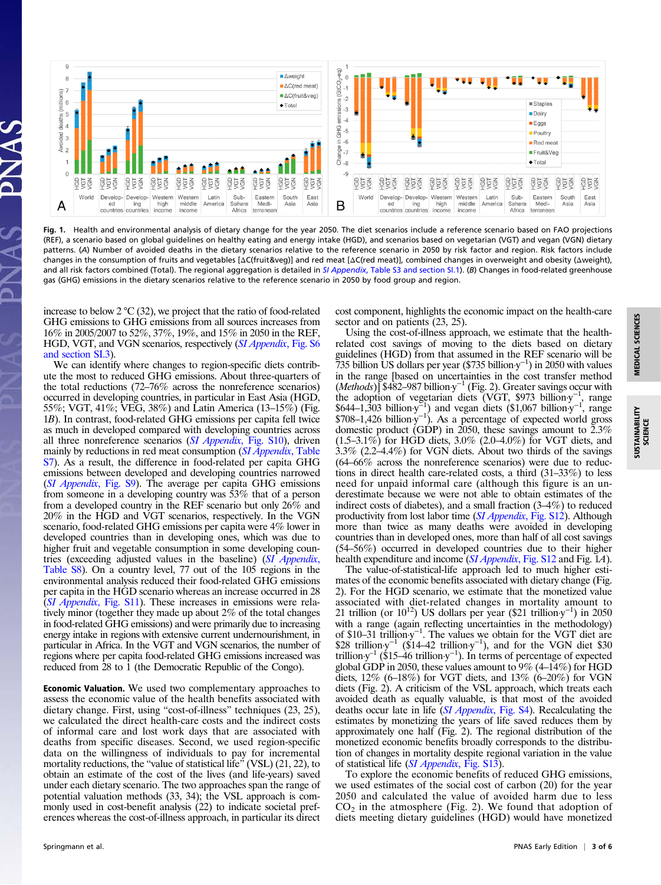

Fig. 1. Health and environmental analysis of dietary change for the year 2050. The diet scenarios include a reference scenario based on FAO projections (REF), a scenario based on global guidelines on healthy eating and energy intake (HGD), and scenarios based on vegetarian (VGT) and vegan (VGN) dietary patterns. (A) Number of avoided deaths in the dietary scenarios relative to the reference scenario in 2050 by risk factor and region. Risk factors include changes in the consumption of fruits and vegetables [ΔC(fruit&veg)] and red meat [ΔC(red meat)], combined changes in overweight and obesity (Δweight), and all risk factors combined (Total). The regional aggregation is detailed in SI Appendix[, Table S3 and section SI.1](http://www.pnas.org/lookup/suppl/doi:10.1073/pnas.1523119113/-/DCSupplemental/pnas.1523119113.sapp.pdf)). (B) Changes in food-related greenhouse gas (GHG) emissions in the dietary scenarios relative to the reference scenario in 2050 by food group and region.

increase to below 2 °C (32), we project that the ratio of food-related GHG emissions to GHG emissions from all sources increases from 16% in 2005/2007 to 52%, 37%, 19%, and 15% in 2050 in the REF, HGD, VGT, and VGN scenarios, respectively ([SI Appendix](http://www.pnas.org/lookup/suppl/doi:10.1073/pnas.1523119113/-/DCSupplemental/pnas.1523119113.sapp.pdf), Fig. S6 [and section SI.3](http://www.pnas.org/lookup/suppl/doi:10.1073/pnas.1523119113/-/DCSupplemental/pnas.1523119113.sapp.pdf)).

We can identify where changes to region-specific diets contribute the most to reduced GHG emissions. About three-quarters of the total reductions (72–76% across the nonreference scenarios) occurred in developing countries, in particular in East Asia (HGD, 55%; VGT, 41%; VEG, 38%) and Latin America (13–15%) (Fig. 1B). In contrast, food-related GHG emissions per capita fell twice as much in developed compared with developing countries across all three nonreference scenarios (SI Appendix[, Fig. S10\)](http://www.pnas.org/lookup/suppl/doi:10.1073/pnas.1523119113/-/DCSupplemental/pnas.1523119113.sapp.pdf), driven mainly by reductions in red meat consumption (*[SI Appendix](http://www.pnas.org/lookup/suppl/doi:10.1073/pnas.1523119113/-/DCSupplemental/pnas.1523119113.sapp.pdf)*, Table [S7](http://www.pnas.org/lookup/suppl/doi:10.1073/pnas.1523119113/-/DCSupplemental/pnas.1523119113.sapp.pdf)). As a result, the difference in food-related per capita GHG emissions between developed and developing countries narrowed ([SI Appendix](http://www.pnas.org/lookup/suppl/doi:10.1073/pnas.1523119113/-/DCSupplemental/pnas.1523119113.sapp.pdf), Fig. S9). The average per capita GHG emissions from someone in a developing country was 53% that of a person from a developed country in the REF scenario but only 26% and 20% in the HGD and VGT scenarios, respectively. In the VGN scenario, food-related GHG emissions per capita were 4% lower in developed countries than in developing ones, which was due to higher fruit and vegetable consumption in some developing coun-tries (exceeding adjusted values in the baseline) ([SI Appendix](http://www.pnas.org/lookup/suppl/doi:10.1073/pnas.1523119113/-/DCSupplemental/pnas.1523119113.sapp.pdf), [Table S8](http://www.pnas.org/lookup/suppl/doi:10.1073/pnas.1523119113/-/DCSupplemental/pnas.1523119113.sapp.pdf)). On a country level, 77 out of the 105 regions in the environmental analysis reduced their food-related GHG emissions per capita in the HGD scenario whereas an increase occurred in 28  $\overline{S}$ (SI Appendix[, Fig. S11\)](http://www.pnas.org/lookup/suppl/doi:10.1073/pnas.1523119113/-/DCSupplemental/pnas.1523119113.sapp.pdf). These increases in emissions were relatively minor (together they made up about 2% of the total changes in food-related GHG emissions) and were primarily due to increasing energy intake in regions with extensive current undernourishment, in particular in Africa. In the VGT and VGN scenarios, the number of regions where per capita food-related GHG emissions increased was reduced from 28 to 1 (the Democratic Republic of the Congo).

Economic Valuation. We used two complementary approaches to assess the economic value of the health benefits associated with dietary change. First, using "cost-of-illness" techniques (23, 25), we calculated the direct health-care costs and the indirect costs of informal care and lost work days that are associated with deaths from specific diseases. Second, we used region-specific data on the willingness of individuals to pay for incremental mortality reductions, the "value of statistical life" (VSL) (21, 22), to obtain an estimate of the cost of the lives (and life-years) saved under each dietary scenario. The two approaches span the range of potential valuation methods (33, 34); the VSL approach is commonly used in cost-benefit analysis (22) to indicate societal preferences whereas the cost-of-illness approach, in particular its direct cost component, highlights the economic impact on the health-care sector and on patients  $(23, 25)$ .

Using the cost-of-illness approach, we estimate that the healthrelated cost savings of moving to the diets based on dietary guidelines (HGD) from that assumed in the REF scenario will be  $735$  billion US dollars per year (\$735 billion·y<sup>-1</sup>) in 2050 with values in the range [based on uncertainties in the cost transfer method  $(Methods)$ ] \$482–987 billion·y<sup>-1</sup> (Fig. 2). Greater savings occur with the adoption of vegetarian diets (VGT, \$973 billion $y^{-1}$ , range  $$644-1,303$  billion·y<sup> $=1$ </sup>) and vegan diets (\$1,067 billion·y<sup>-1</sup>, range  $$708-1,426$  billion y<sup>-1</sup>). As a percentage of expected world gross domestic product (GDP) in 2050, these savings amount to  $2.3\%$ (1.5–3.1%) for HGD diets, 3.0% (2.0–4.0%) for VGT diets, and 3.3% (2.2–4.4%) for VGN diets. About two thirds of the savings (64–66% across the nonreference scenarios) were due to reductions in direct health care-related costs, a third (31–33%) to less need for unpaid informal care (although this figure is an underestimate because we were not able to obtain estimates of the indirect costs of diabetes), and a small fraction (3–4%) to reduced productivity from lost labor time (SI Appendix[, Fig. S12](http://www.pnas.org/lookup/suppl/doi:10.1073/pnas.1523119113/-/DCSupplemental/pnas.1523119113.sapp.pdf)). Although more than twice as many deaths were avoided in developing countries than in developed ones, more than half of all cost savings (54–56%) occurred in developed countries due to their higher health expenditure and income (SI Appendix[, Fig. S12](http://www.pnas.org/lookup/suppl/doi:10.1073/pnas.1523119113/-/DCSupplemental/pnas.1523119113.sapp.pdf) and Fig. 1A).

The value-of-statistical-life approach led to much higher estimates of the economic benefits associated with dietary change (Fig. 2). For the HGD scenario, we estimate that the monetized value associated with diet-related changes in mortality amount to 21 trillion (or  $10^{12}$ ) US dollars per year (\$21 trillion  $y^{-1}$ ) in 2050 with a range (again reflecting uncertainties in the methodology) of \$10–31 trillion  $y^{-1}$ . The values we obtain for the VGT diet are  $$28$  trillion·y<sup>-1</sup> ( $$14-42$  trillion·y<sup>-1</sup>), and for the VGN diet \$30 trillion·y<sup>-1</sup> (\$15–46 trillion·y<sup>-1</sup>). In terms of percentage of expected global GDP in 2050, these values amount to  $9\%$  (4–14%) for HGD diets, 12% (6–18%) for VGT diets, and 13% (6–20%) for VGN diets (Fig. 2). A criticism of the VSL approach, which treats each avoided death as equally valuable, is that most of the avoided deaths occur late in life ([SI Appendix](http://www.pnas.org/lookup/suppl/doi:10.1073/pnas.1523119113/-/DCSupplemental/pnas.1523119113.sapp.pdf), Fig. S4). Recalculating the estimates by monetizing the years of life saved reduces them by approximately one half (Fig. 2). The regional distribution of the monetized economic benefits broadly corresponds to the distribution of changes in mortality despite regional variation in the value of statistical life (*SI Appendix*[, Fig. S13](http://www.pnas.org/lookup/suppl/doi:10.1073/pnas.1523119113/-/DCSupplemental/pnas.1523119113.sapp.pdf)).

To explore the economic benefits of reduced GHG emissions, we used estimates of the social cost of carbon (20) for the year 2050 and calculated the value of avoided harm due to less  $CO<sub>2</sub>$  in the atmosphere (Fig. 2). We found that adoption of diets meeting dietary guidelines (HGD) would have monetized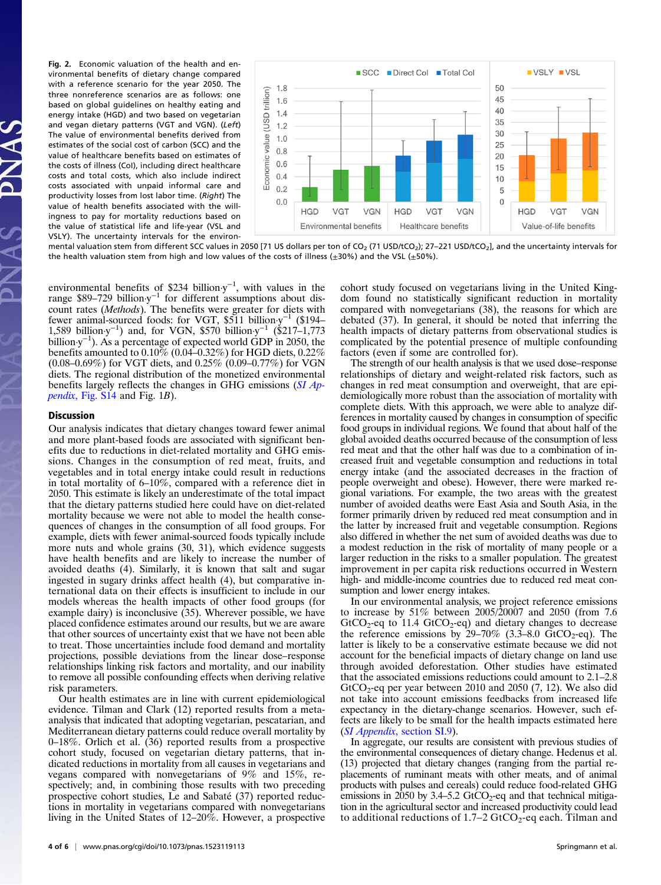Fig. 2. Economic valuation of the health and environmental benefits of dietary change compared with a reference scenario for the year 2050. The three nonreference scenarios are as follows: one based on global guidelines on healthy eating and energy intake (HGD) and two based on vegetarian and vegan dietary patterns (VGT and VGN). (Left) The value of environmental benefits derived from estimates of the social cost of carbon (SCC) and the value of healthcare benefits based on estimates of the costs of illness (CoI), including direct healthcare costs and total costs, which also include indirect costs associated with unpaid informal care and productivity losses from lost labor time. (Right) The value of health benefits associated with the willingness to pay for mortality reductions based on the value of statistical life and life-year (VSL and VSLY). The uncertainty intervals for the environ-



mental valuation stem from different SCC values in 2050 [71 US dollars per ton of CO<sub>2</sub> (71 USD/tCO<sub>2</sub>); 27-221 USD/tCO<sub>2</sub>], and the uncertainty intervals for the health valuation stem from high and low values of the costs of illness ( $\pm 30\%$ ) and the VSL ( $\pm 50\%$ ).

environmental benefits of \$234 billion $y^{-1}$ , with values in the range \$89–729 billion·y<sup>-1</sup> for different assumptions about discount rates (Methods). The benefits were greater for diets with fewer animal-sourced foods: for VGT, \$511 billion y<sup>-1</sup> (\$194– 1,589 billion·y<sup>-1</sup>) and, for VGN, \$570 billion·y<sup>-1</sup> (\$217–1,773 billion·y<sup>-1</sup>). As a percentage of expected world GDP in 2050, the benefits amounted to 0.10% (0.04–0.32%) for HGD diets, 0.22% (0.08–0.69%) for VGT diets, and 0.25% (0.09–0.77%) for VGN diets. The regional distribution of the monetized environmental benefits largely reflects the changes in GHG emissions ([SI Ap](http://www.pnas.org/lookup/suppl/doi:10.1073/pnas.1523119113/-/DCSupplemental/pnas.1523119113.sapp.pdf)pendix[, Fig. S14](http://www.pnas.org/lookup/suppl/doi:10.1073/pnas.1523119113/-/DCSupplemental/pnas.1523119113.sapp.pdf) and Fig. 1B).

#### **Discussion**

Our analysis indicates that dietary changes toward fewer animal and more plant-based foods are associated with significant benefits due to reductions in diet-related mortality and GHG emissions. Changes in the consumption of red meat, fruits, and vegetables and in total energy intake could result in reductions in total mortality of 6–10%, compared with a reference diet in 2050. This estimate is likely an underestimate of the total impact that the dietary patterns studied here could have on diet-related mortality because we were not able to model the health consequences of changes in the consumption of all food groups. For example, diets with fewer animal-sourced foods typically include more nuts and whole grains (30, 31), which evidence suggests have health benefits and are likely to increase the number of avoided deaths (4). Similarly, it is known that salt and sugar ingested in sugary drinks affect health (4), but comparative international data on their effects is insufficient to include in our models whereas the health impacts of other food groups (for example dairy) is inconclusive (35). Wherever possible, we have placed confidence estimates around our results, but we are aware that other sources of uncertainty exist that we have not been able to treat. Those uncertainties include food demand and mortality projections, possible deviations from the linear dose–response relationships linking risk factors and mortality, and our inability to remove all possible confounding effects when deriving relative risk parameters.

Our health estimates are in line with current epidemiological evidence. Tilman and Clark (12) reported results from a metaanalysis that indicated that adopting vegetarian, pescatarian, and Mediterranean dietary patterns could reduce overall mortality by 0–18%. Orlich et al. (36) reported results from a prospective cohort study, focused on vegetarian dietary patterns, that indicated reductions in mortality from all causes in vegetarians and vegans compared with nonvegetarians of 9% and 15%, respectively; and, in combining those results with two preceding prospective cohort studies, Le and Sabaté (37) reported reductions in mortality in vegetarians compared with nonvegetarians living in the United States of 12–20%. However, a prospective

4 of 6 | <www.pnas.org/cgi/doi/10.1073/pnas.1523119113> Springmann et al.

cohort study focused on vegetarians living in the United Kingdom found no statistically significant reduction in mortality compared with nonvegetarians (38), the reasons for which are debated (37). In general, it should be noted that inferring the health impacts of dietary patterns from observational studies is complicated by the potential presence of multiple confounding factors (even if some are controlled for).

The strength of our health analysis is that we used dose–response relationships of dietary and weight-related risk factors, such as changes in red meat consumption and overweight, that are epidemiologically more robust than the association of mortality with complete diets. With this approach, we were able to analyze differences in mortality caused by changes in consumption of specific food groups in individual regions. We found that about half of the global avoided deaths occurred because of the consumption of less red meat and that the other half was due to a combination of increased fruit and vegetable consumption and reductions in total energy intake (and the associated decreases in the fraction of people overweight and obese). However, there were marked regional variations. For example, the two areas with the greatest number of avoided deaths were East Asia and South Asia, in the former primarily driven by reduced red meat consumption and in the latter by increased fruit and vegetable consumption. Regions also differed in whether the net sum of avoided deaths was due to a modest reduction in the risk of mortality of many people or a larger reduction in the risks to a smaller population. The greatest improvement in per capita risk reductions occurred in Western high- and middle-income countries due to reduced red meat consumption and lower energy intakes.

In our environmental analysis, we project reference emissions to increase by 51% between 2005/20007 and 2050 (from 7.6  $GtCO<sub>2</sub>$ -eq to 11.4  $GtCO<sub>2</sub>$ -eq) and dietary changes to decrease the reference emissions by  $29-70\%$  (3.3–8.0 GtCO<sub>2</sub>-eq). The latter is likely to be a conservative estimate because we did not account for the beneficial impacts of dietary change on land use through avoided deforestation. Other studies have estimated that the associated emissions reductions could amount to 2.1–2.8  $GtCO<sub>2</sub>$ -eq per year between 2010 and 2050 (7, 12). We also did not take into account emissions feedbacks from increased life expectancy in the dietary-change scenarios. However, such effects are likely to be small for the health impacts estimated here (SI Appendix[, section SI.9](http://www.pnas.org/lookup/suppl/doi:10.1073/pnas.1523119113/-/DCSupplemental/pnas.1523119113.sapp.pdf)).

In aggregate, our results are consistent with previous studies of the environmental consequences of dietary change. Hedenus et al. (13) projected that dietary changes (ranging from the partial replacements of ruminant meats with other meats, and of animal products with pulses and cereals) could reduce food-related GHG emissions in 2050 by 3.4–5.2 GtCO<sub>2</sub>-eq and that technical mitigation in the agricultural sector and increased productivity could lead to additional reductions of  $1.7-2$  GtCO<sub>2</sub>-eq each. Tilman and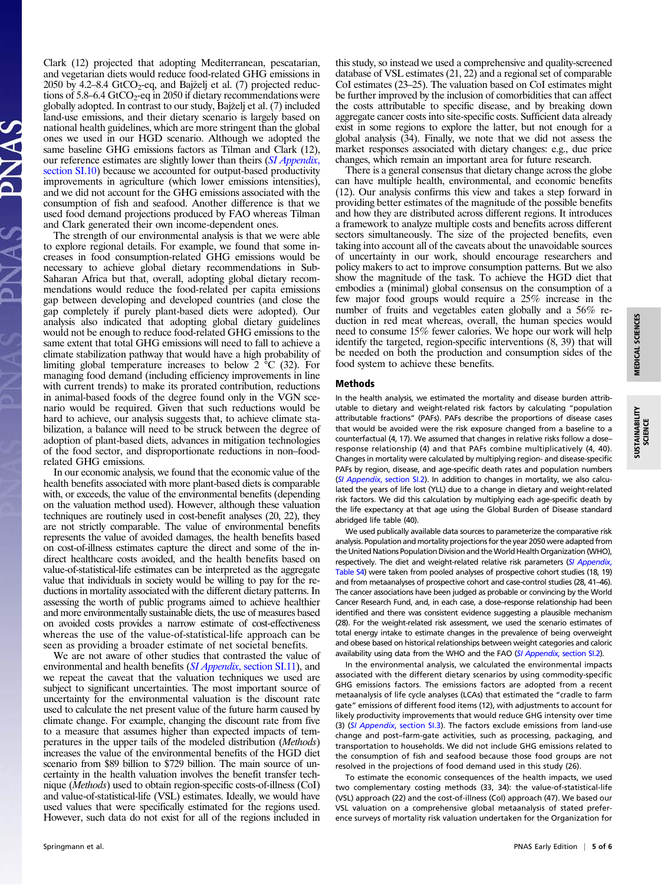Clark (12) projected that adopting Mediterranean, pescatarian, and vegetarian diets would reduce food-related GHG emissions in  $2050$  by 4.2–8.4 GtCO<sub>2</sub>-eq, and Bajželj et al. (7) projected reductions of  $5.8$ –6.4 GtCO<sub>2</sub>-eq in 2050 if dietary recommendations were globally adopted. In contrast to our study, Bajzelj et al. (7) included land-use emissions, and their dietary scenario is largely based on national health guidelines, which are more stringent than the global ones we used in our HGD scenario. Although we adopted the same baseline GHG emissions factors as Tilman and Clark (12), our reference estimates are slightly lower than theirs (*[SI Appendix](http://www.pnas.org/lookup/suppl/doi:10.1073/pnas.1523119113/-/DCSupplemental/pnas.1523119113.sapp.pdf)*, [section SI.10](http://www.pnas.org/lookup/suppl/doi:10.1073/pnas.1523119113/-/DCSupplemental/pnas.1523119113.sapp.pdf)) because we accounted for output-based productivity improvements in agriculture (which lower emissions intensities), and we did not account for the GHG emissions associated with the consumption of fish and seafood. Another difference is that we used food demand projections produced by FAO whereas Tilman and Clark generated their own income-dependent ones.

The strength of our environmental analysis is that we were able to explore regional details. For example, we found that some increases in food consumption-related GHG emissions would be necessary to achieve global dietary recommendations in Sub-Saharan Africa but that, overall, adopting global dietary recommendations would reduce the food-related per capita emissions gap between developing and developed countries (and close the gap completely if purely plant-based diets were adopted). Our analysis also indicated that adopting global dietary guidelines would not be enough to reduce food-related GHG emissions to the same extent that total GHG emissions will need to fall to achieve a climate stabilization pathway that would have a high probability of limiting global temperature increases to below 2 °C (32). For managing food demand (including efficiency improvements in line with current trends) to make its prorated contribution, reductions in animal-based foods of the degree found only in the VGN scenario would be required. Given that such reductions would be hard to achieve, our analysis suggests that, to achieve climate stabilization, a balance will need to be struck between the degree of adoption of plant-based diets, advances in mitigation technologies of the food sector, and disproportionate reductions in non–foodrelated GHG emissions.

In our economic analysis, we found that the economic value of the health benefits associated with more plant-based diets is comparable with, or exceeds, the value of the environmental benefits (depending on the valuation method used). However, although these valuation techniques are routinely used in cost-benefit analyses (20, 22), they are not strictly comparable. The value of environmental benefits represents the value of avoided damages, the health benefits based on cost-of-illness estimates capture the direct and some of the indirect healthcare costs avoided, and the health benefits based on value-of-statistical-life estimates can be interpreted as the aggregate value that individuals in society would be willing to pay for the reductions in mortality associated with the different dietary patterns. In assessing the worth of public programs aimed to achieve healthier and more environmentally sustainable diets, the use of measures based on avoided costs provides a narrow estimate of cost-effectiveness whereas the use of the value-of-statistical-life approach can be seen as providing a broader estimate of net societal benefits.

We are not aware of other studies that contrasted the value of environmental and health benefits (SI Appendix[, section SI.11](http://www.pnas.org/lookup/suppl/doi:10.1073/pnas.1523119113/-/DCSupplemental/pnas.1523119113.sapp.pdf)), and we repeat the caveat that the valuation techniques we used are subject to significant uncertainties. The most important source of uncertainty for the environmental valuation is the discount rate used to calculate the net present value of the future harm caused by climate change. For example, changing the discount rate from five to a measure that assumes higher than expected impacts of temperatures in the upper tails of the modeled distribution (Methods) increases the value of the environmental benefits of the HGD diet scenario from \$89 billion to \$729 billion. The main source of uncertainty in the health valuation involves the benefit transfer technique (Methods) used to obtain region-specific costs-of-illness (CoI) and value-of-statistical-life (VSL) estimates. Ideally, we would have used values that were specifically estimated for the regions used. However, such data do not exist for all of the regions included in

this study, so instead we used a comprehensive and quality-screened database of VSL estimates (21, 22) and a regional set of comparable CoI estimates (23–25). The valuation based on CoI estimates might be further improved by the inclusion of comorbidities that can affect the costs attributable to specific disease, and by breaking down aggregate cancer costs into site-specific costs. Sufficient data already exist in some regions to explore the latter, but not enough for a global analysis  $(34)$ . Finally, we note that we did not assess the market responses associated with dietary changes: e.g., due price changes, which remain an important area for future research.

There is a general consensus that dietary change across the globe can have multiple health, environmental, and economic benefits (12). Our analysis confirms this view and takes a step forward in providing better estimates of the magnitude of the possible benefits and how they are distributed across different regions. It introduces a framework to analyze multiple costs and benefits across different sectors simultaneously. The size of the projected benefits, even taking into account all of the caveats about the unavoidable sources of uncertainty in our work, should encourage researchers and policy makers to act to improve consumption patterns. But we also show the magnitude of the task. To achieve the HGD diet that embodies a (minimal) global consensus on the consumption of a few major food groups would require a 25% increase in the number of fruits and vegetables eaten globally and a 56% reduction in red meat whereas, overall, the human species would need to consume 15% fewer calories. We hope our work will help identify the targeted, region-specific interventions (8, 39) that will be needed on both the production and consumption sides of the food system to achieve these benefits.

#### Methods

In the health analysis, we estimated the mortality and disease burden attributable to dietary and weight-related risk factors by calculating "population attributable fractions" (PAFs). PAFs describe the proportions of disease cases that would be avoided were the risk exposure changed from a baseline to a counterfactual (4, 17). We assumed that changes in relative risks follow a dose– response relationship (4) and that PAFs combine multiplicatively (4, 40). Changes in mortality were calculated by multiplying region- and disease-specific PAFs by region, disease, and age-specific death rates and population numbers (SI Appendix[, section SI.2\)](http://www.pnas.org/lookup/suppl/doi:10.1073/pnas.1523119113/-/DCSupplemental/pnas.1523119113.sapp.pdf). In addition to changes in mortality, we also calculated the years of life lost (YLL) due to a change in dietary and weight-related risk factors. We did this calculation by multiplying each age-specific death by the life expectancy at that age using the Global Burden of Disease standard abridged life table (40).

We used publically available data sources to parameterize the comparative risk analysis. Population and mortality projections for the year 2050 were adapted from the United Nations Population Division and theWorld Health Organization (WHO), respectively. The diet and weight-related relative risk parameters ([SI Appendix](http://www.pnas.org/lookup/suppl/doi:10.1073/pnas.1523119113/-/DCSupplemental/pnas.1523119113.sapp.pdf), [Table S4](http://www.pnas.org/lookup/suppl/doi:10.1073/pnas.1523119113/-/DCSupplemental/pnas.1523119113.sapp.pdf)) were taken from pooled analyses of prospective cohort studies (18, 19) and from metaanalyses of prospective cohort and case-control studies (28, 41–46). The cancer associations have been judged as probable or convincing by the World Cancer Research Fund, and, in each case, a dose–response relationship had been identified and there was consistent evidence suggesting a plausible mechanism (28). For the weight-related risk assessment, we used the scenario estimates of total energy intake to estimate changes in the prevalence of being overweight and obese based on historical relationships between weight categories and caloric availability using data from the WHO and the FAO (SI Appendix[, section SI.2](http://www.pnas.org/lookup/suppl/doi:10.1073/pnas.1523119113/-/DCSupplemental/pnas.1523119113.sapp.pdf)).

In the environmental analysis, we calculated the environmental impacts associated with the different dietary scenarios by using commodity-specific GHG emissions factors. The emissions factors are adopted from a recent metaanalysis of life cycle analyses (LCAs) that estimated the "cradle to farm gate" emissions of different food items (12), with adjustments to account for likely productivity improvements that would reduce GHG intensity over time (3) (SI Appendix[, section SI.3](http://www.pnas.org/lookup/suppl/doi:10.1073/pnas.1523119113/-/DCSupplemental/pnas.1523119113.sapp.pdf)). The factors exclude emissions from land-use change and post–farm-gate activities, such as processing, packaging, and transportation to households. We did not include GHG emissions related to the consumption of fish and seafood because those food groups are not resolved in the projections of food demand used in this study (26).

To estimate the economic consequences of the health impacts, we used two complementary costing methods (33, 34): the value-of-statistical-life (VSL) approach (22) and the cost-of-illness (CoI) approach (47). We based our VSL valuation on a comprehensive global metaanalysis of stated preference surveys of mortality risk valuation undertaken for the Organization for